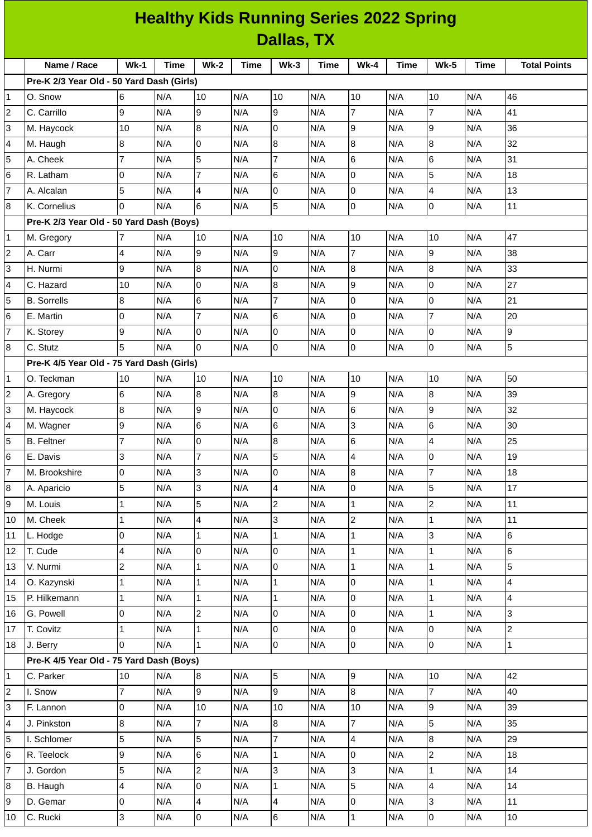| <b>Healthy Kids Running Series 2022 Spring</b> |                                           |        |             |                 |             |                |             |                         |             |                          |             |                          |
|------------------------------------------------|-------------------------------------------|--------|-------------|-----------------|-------------|----------------|-------------|-------------------------|-------------|--------------------------|-------------|--------------------------|
| Dallas, TX                                     |                                           |        |             |                 |             |                |             |                         |             |                          |             |                          |
|                                                | Name / Race                               | $Wk-1$ | <b>Time</b> | <b>Wk-2</b>     | <b>Time</b> | $Wk-3$         | <b>Time</b> | $Wk-4$                  | <b>Time</b> | <b>Wk-5</b>              | <b>Time</b> | <b>Total Points</b>      |
|                                                | Pre-K 2/3 Year Old - 50 Yard Dash (Girls) |        |             |                 |             |                |             |                         |             |                          |             |                          |
| 1                                              | O. Snow                                   | 6      | N/A         | 10              | N/A         | 10             | N/A         | 10                      | N/A         | 10                       | N/A         | 46                       |
| $\overline{\mathbf{c}}$                        | C. Carrillo                               | 9      | N/A         | 9               | N/A         | 9              | N/A         | $\overline{7}$          | N/A         | $\overline{7}$           | N/A         | 41                       |
| 3                                              | M. Haycock                                | 10     | N/A         | $\bf{8}$        | N/A         | 0              | N/A         | 9                       | N/A         | 9                        | N/A         | 36                       |
| 4                                              | M. Haugh                                  | 8      | N/A         | 0               | N/A         | 8              | N/A         | 8                       | N/A         | 8                        | N/A         | 32                       |
| 5                                              | A. Cheek                                  | 7      | N/A         | 5               | N/A         | $\overline{7}$ | N/A         | $6\overline{6}$         | N/A         | 6                        | N/A         | 31                       |
| 6                                              | R. Latham                                 | 0      | N/A         | $\overline{7}$  | N/A         | 6              | N/A         | l0                      | N/A         | 5                        | N/A         | 18                       |
| $\overline{7}$                                 | A. Alcalan                                | 5      | N/A         | 4               | N/A         | 0              | N/A         | l0                      | N/A         | 4                        | N/A         | 13                       |
| 8                                              | K. Cornelius                              | 0      | N/A         | 6               | N/A         | 5              | N/A         | Iо                      | N/A         | 0                        | N/A         | 11                       |
|                                                | Pre-K 2/3 Year Old - 50 Yard Dash (Boys)  |        |             |                 |             |                |             |                         |             |                          |             |                          |
| 1                                              | M. Gregory                                |        | N/A         | 10              | N/A         | 10             | N/A         | 10                      | N/A         | 10                       | N/A         | 47                       |
| $\overline{c}$                                 | A. Carr                                   | 4      | N/A         | 9               | N/A         | 9              | N/A         | $\overline{7}$          | N/A         | 9                        | N/A         | 38                       |
| 3                                              | H. Nurmi                                  | 9      | N/A         | 8               | N/A         | 0              | N/A         | 8                       | N/A         | 8                        | N/A         | 33                       |
| 4                                              | C. Hazard                                 | 10     | N/A         | $\overline{0}$  | N/A         | 8              | N/A         | g                       | N/A         | 0                        | N/A         | 27                       |
| 5                                              | <b>B.</b> Sorrells                        | 8      | N/A         | $6\phantom{.}6$ | N/A         | $\overline{7}$ | N/A         | l0                      | N/A         | 0                        | N/A         | 21                       |
| 6                                              | E. Martin                                 | 0      | N/A         | $\overline{7}$  | N/A         | 6              | N/A         | 0                       | N/A         | $\overline{7}$           | N/A         | 20                       |
| $\overline{7}$                                 | K. Storey                                 | 9      | N/A         | $\mathbf 0$     | N/A         | 0              | N/A         | Iо                      | N/A         | 0                        | N/A         | 9                        |
| 8                                              | C. Stutz                                  | 5      | N/A         | 0               | N/A         | 0              | N/A         | l0                      | N/A         | 0                        | N/A         | 5                        |
|                                                | Pre-K 4/5 Year Old - 75 Yard Dash (Girls) |        |             |                 |             |                |             |                         |             |                          |             |                          |
| $\mathbf{1}$                                   | O. Teckman                                | 10     | N/A         | 10              | N/A         | 10             | N/A         | 10                      | N/A         | 10                       | N/A         | 50                       |
| 2                                              | A. Gregory                                | 6      | N/A         | 8               | N/A         | 8              | N/A         | 9                       | N/A         | 8                        | N/A         | 39                       |
| 3                                              | M. Haycock                                | 8      | N/A         | 9               | N/A         | 0              | N/A         | $6\phantom{.}6$         | N/A         | 9                        | N/A         | 32                       |
| 4                                              | M. Wagner                                 | 9      | N/A         | $\,$ 6          | N/A         | 6              | N/A         | 3                       | N/A         | 6                        | N/A         | 30                       |
| 5                                              | <b>B.</b> Feltner                         | 7      | N/A         | 0               | N/A         | 8              | N/A         | 6                       | N/A         | 4                        | N/A         | 25                       |
| 6                                              | E. Davis                                  | 3      | N/A         | $\overline{7}$  | N/A         | 5              | N/A         | $\overline{4}$          | N/A         | 0                        | N/A         | 19                       |
| 7                                              | M. Brookshire                             | 0      | N/A         | 3               | N/A         | 0              | N/A         | 8                       | N/A         | 7                        | N/A         | 18                       |
| 8                                              | A. Aparicio                               | 5      | N/A         | 3               | N/A         | 4              | N/A         | l0                      | N/A         | 5                        | N/A         | 17                       |
| 9                                              | M. Louis                                  | 1      | N/A         | 5               | N/A         | $\overline{c}$ | N/A         | $\mathbf{1}$            | N/A         | $\overline{c}$           | N/A         | 11                       |
| 10                                             | M. Cheek                                  | 1      | N/A         | 4               | N/A         | 3              | N/A         | $\overline{c}$          | N/A         | 1                        | N/A         | 11                       |
| 11                                             | L. Hodge                                  | 0      | N/A         | $\mathbf{1}$    | N/A         | $\mathbf{1}$   | N/A         | $\vert$ 1               | N/A         | 3                        | N/A         | 6                        |
| 12                                             | T. Cude                                   | 4      | N/A         | $\pmb{0}$       | N/A         | 0              | N/A         | $\mathbf{1}$            | N/A         | $\mathbf{1}$             | N/A         | $\,6$                    |
| 13                                             | V. Nurmi                                  | 2      | N/A         | $\mathbf{1}$    | N/A         | 0              | N/A         | $\mathbf{1}$            | N/A         | 1                        | N/A         | 5                        |
| 14                                             | O. Kazynski                               | 1      | N/A         | $\mathbf{1}$    | N/A         | $\mathbf{1}$   | N/A         | l0                      | N/A         | $\mathbf 1$              | N/A         | $\overline{\mathcal{L}}$ |
| 15                                             | P. Hilkemann                              | 1      | N/A         | $\mathbf{1}$    | N/A         | $\mathbf{1}$   | N/A         | O                       | N/A         | $\mathbf{1}$             | N/A         | 4                        |
| 16                                             | G. Powell                                 | 0      | N/A         | $\overline{c}$  | N/A         | 0              | N/A         | l0                      | N/A         | $\mathbf{1}$             | N/A         | 3                        |
| 17                                             | T. Covitz                                 | 1      | N/A         | $\mathbf 1$     | N/A         | 0              | N/A         | l0                      | N/A         | 0                        | N/A         | $\overline{c}$           |
| 18                                             | J. Berry                                  | 0      | N/A         | $\mathbf 1$     | N/A         | 0              | N/A         | 0                       | N/A         | 0                        | N/A         | $\mathbf 1$              |
|                                                | Pre-K 4/5 Year Old - 75 Yard Dash (Boys)  |        |             |                 |             |                |             |                         |             |                          |             |                          |
| 1                                              | C. Parker                                 | 10     | N/A         | $8\,$           | N/A         | 5              | N/A         | 9                       | N/A         | 10                       | N/A         | 42                       |
| 2                                              | I. Snow                                   | 7      | N/A         | 9               | N/A         | 9              | N/A         | 8                       | N/A         | 7                        | N/A         | 40                       |
| 3                                              | F. Lannon                                 | 0      | N/A         | 10              | N/A         | 10             | N/A         | 10                      | N/A         | 9                        | N/A         | 39                       |
| 4                                              | J. Pinkston                               | 8      | N/A         | $\overline{7}$  | N/A         | 8              | N/A         | $\overline{7}$          | N/A         | 5                        | N/A         | 35                       |
| 5                                              | I. Schlomer                               | 5      | N/A         | 5               | N/A         | $\overline{7}$ | N/A         | $\overline{\mathbf{4}}$ | N/A         | 8                        | N/A         | 29                       |
| 6                                              | R. Teelock                                | 9      | N/A         | 6               | N/A         | $\mathbf{1}$   | N/A         | l0                      | N/A         | $\overline{c}$           | N/A         | 18                       |
| 7                                              | J. Gordon                                 | 5      | N/A         | $\overline{c}$  | N/A         | 3              | N/A         | 3                       | N/A         | $\mathbf{1}$             | N/A         | 14                       |
| 8                                              | B. Haugh                                  | 4      | N/A         | $\mathsf 0$     | N/A         | $\mathbf{1}$   | N/A         | 5                       | N/A         | $\overline{\mathcal{L}}$ | N/A         | 14                       |
| 9                                              | D. Gemar                                  | 0      | N/A         | 4               | N/A         | 4              | N/A         | l0                      | N/A         | 3                        | N/A         | $11\,$                   |
| 10                                             | C. Rucki                                  | 3      | N/A         | 0               | N/A         | 6              | N/A         | $\mathbf{1}$            | N/A         | 0                        | N/A         | 10                       |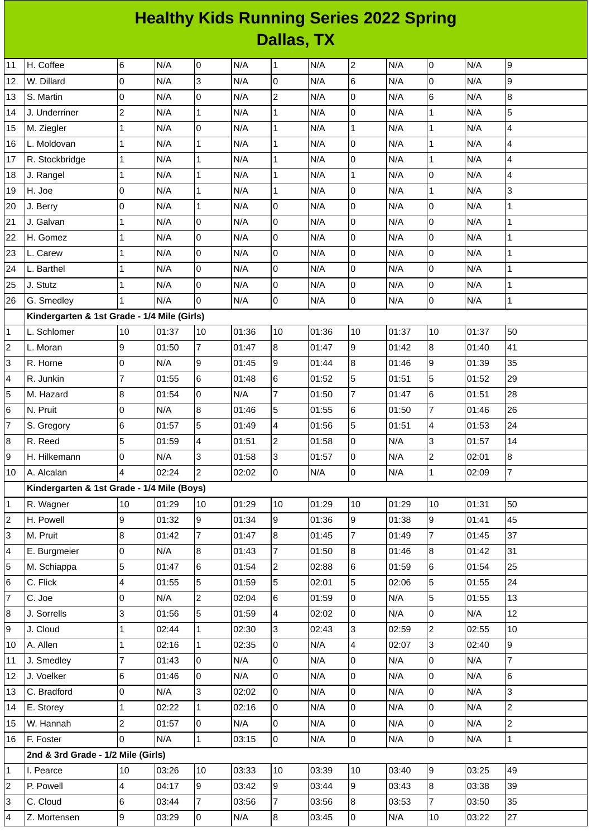## **Healthy Kids Running Series 2022 Spring Dallas, TX**

| 11                      | H. Coffee                                   | 6              | N/A   | 0              | N/A   | $\mathbf 1$    | N/A   | $\overline{c}$  | N/A   | 0              | N/A   | 9                        |
|-------------------------|---------------------------------------------|----------------|-------|----------------|-------|----------------|-------|-----------------|-------|----------------|-------|--------------------------|
| 12                      | W. Dillard                                  | 0              | N/A   | 3              | N/A   | 0              | N/A   | $6\overline{6}$ | N/A   | 0              | N/A   | 9                        |
| 13                      | S. Martin                                   | 0              | N/A   | 0              | N/A   | $\overline{c}$ | N/A   | $\pmb{0}$       | N/A   | 6              | N/A   | 8                        |
| 14                      | J. Underriner                               | $\overline{c}$ | N/A   | $\mathbf{1}$   | N/A   | $\mathbf 1$    | N/A   | $\overline{0}$  | N/A   | $\mathbf 1$    | N/A   | 5                        |
| 15                      | M. Ziegler                                  | $\mathbf 1$    | N/A   | l0             | N/A   | $\mathbf 1$    | N/A   | $\mathbf{1}$    | N/A   | $\mathbf 1$    | N/A   | 4                        |
| 16                      | L. Moldovan                                 | $\mathbf{1}$   | N/A   | $\mathbf{1}$   | N/A   | $\mathbf 1$    | N/A   | 0               | N/A   | $\mathbf{1}$   | N/A   | 4                        |
| 17                      | R. Stockbridge                              | $\mathbf{1}$   | N/A   | $\mathbf{1}$   | N/A   | $\mathbf{1}$   | N/A   | $\overline{0}$  | N/A   | $\mathbf{1}$   | N/A   | $\overline{\mathcal{L}}$ |
| 18                      | J. Rangel                                   | $\mathbf 1$    | N/A   | $\mathbf{1}$   | N/A   | $\mathbf 1$    | N/A   | $\mathbf{1}$    | N/A   | 0              | N/A   | 4                        |
| 19                      | H. Joe                                      | 0              | N/A   | $\mathbf{1}$   | N/A   | $\mathbf 1$    | N/A   | O               | N/A   | $\mathbf 1$    | N/A   | 3                        |
| 20                      | J. Berry                                    | 0              | N/A   | $\mathbf 1$    | N/A   | 0              | N/A   | 0               | N/A   | 0              | N/A   | $\mathbf 1$              |
| 21                      | J. Galvan                                   | $\mathbf{1}$   | N/A   | l0             | N/A   | 0              | N/A   | $\pmb{0}$       | N/A   | 0              | N/A   | $\mathbf{1}$             |
| 22                      | H. Gomez                                    | $\mathbf 1$    | N/A   | 0              | N/A   | 0              | N/A   | O               | N/A   | 0              | N/A   | $\mathbf{1}$             |
| 23                      | L. Carew                                    | $\mathbf{1}$   | N/A   | 0              | N/A   | 0              | N/A   | $\overline{0}$  | N/A   | 0              | N/A   | $\mathbf{1}$             |
| 24                      | L. Barthel                                  | $\mathbf{1}$   | N/A   | 0              | N/A   | 0              | N/A   | $\mathsf 0$     | N/A   | 0              | N/A   | $\mathbf{1}$             |
| 25                      | J. Stutz                                    | $\mathbf{1}$   | N/A   | 0              | N/A   | 0              | N/A   | $\overline{0}$  | N/A   | 0              | N/A   | $\mathbf{1}$             |
| 26                      | G. Smedley                                  | 1              | N/A   | $\Omega$       | N/A   | 0              | N/A   | $\overline{0}$  | N/A   | 0              | N/A   | $\mathbf 1$              |
|                         | Kindergarten & 1st Grade - 1/4 Mile (Girls) |                |       |                |       |                |       |                 |       |                |       |                          |
| 1                       | L. Schlomer                                 | 10             | 01:37 | 10             | 01:36 | 10             | 01:36 | 10              | 01:37 | 10             | 01:37 | 50                       |
| $\overline{c}$          | L. Moran                                    | 9              | 01:50 | $\overline{7}$ | 01:47 | 8              | 01:47 | 9               | 01:42 | 8              | 01:40 | 41                       |
| 3                       | R. Horne                                    | 0              | N/A   | 9              | 01:45 | 9              | 01:44 | 8               | 01:46 | $\mathsf g$    | 01:39 | 35                       |
| 4                       | R. Junkin                                   | $\overline{7}$ | 01:55 | 6              | 01:48 | 6              | 01:52 | 5               | 01:51 | 5              | 01:52 | 29                       |
| 5                       | M. Hazard                                   | 8              | 01:54 | 0              | N/A   | $\overline{7}$ | 01:50 | $\overline{7}$  | 01:47 | 6              | 01:51 | 28                       |
| 6                       | N. Pruit                                    | 0              | N/A   | 8              | 01:46 | 5              | 01:55 | $6\phantom{.}6$ | 01:50 | $\overline{7}$ | 01:46 | 26                       |
| $\overline{7}$          | S. Gregory                                  | 6              | 01:57 | 5              | 01:49 | 4              | 01:56 | 5               | 01:51 | 4              | 01:53 | 24                       |
| 8                       | R. Reed                                     | 5              | 01:59 | 4              | 01:51 | $\overline{c}$ | 01:58 | $\overline{0}$  | N/A   | 3              | 01:57 | 14                       |
| 9                       | H. Hilkemann                                | 0              | N/A   | 3              | 01:58 | 3              | 01:57 | $\overline{0}$  | N/A   | $\overline{c}$ | 02:01 | 8                        |
| 10                      | A. Alcalan                                  | 4              | 02:24 | $\overline{c}$ | 02:02 | 0              | N/A   | 0               | N/A   | $\mathbf{1}$   | 02:09 | 7                        |
|                         | Kindergarten & 1st Grade - 1/4 Mile (Boys)  |                |       |                |       |                |       |                 |       |                |       |                          |
| $\mathbf{1}$            | R. Wagner                                   | 10             | 01:29 | 10             | 01:29 | 10             | 01:29 | 10              | 01:29 | 10             | 01:31 | 50                       |
| $\overline{\mathbf{c}}$ | H. Powell                                   | 9              | 01:32 | $\overline{9}$ | 01:34 | $\overline{9}$ | 01:36 | 9               | 01:38 | 9              | 01:41 | 45                       |
| 3                       | M. Pruit                                    | 8              | 01:42 | $\overline{7}$ | 01:47 | 8              | 01:45 | $\overline{7}$  | 01:49 | $\overline{7}$ | 01:45 | 37                       |
| 4                       | E. Burgmeier                                | 0              | N/A   | 8              | 01:43 | $\overline{7}$ | 01:50 | 8               | 01:46 | 8              | 01:42 | 31                       |
| 5                       | M. Schiappa                                 | 5              | 01:47 | 6              | 01:54 | $\overline{c}$ | 02:88 | $6\phantom{.}6$ | 01:59 | 6              | 01:54 | 25                       |
| 6                       | C. Flick                                    | 4              | 01:55 | 5              | 01:59 | 5              | 02:01 | 5               | 02:06 | 5              | 01:55 | 24                       |
| 7                       | C. Joe                                      | 0              | N/A   | $\overline{c}$ | 02:04 | 6              | 01:59 | $\overline{0}$  | N/A   | 5              | 01:55 | 13                       |
| 8                       | J. Sorrells                                 | 3              | 01:56 | 5              | 01:59 | $\overline{4}$ | 02:02 | l0              | N/A   | $\overline{0}$ | N/A   | 12                       |
| 9                       | J. Cloud                                    | $\mathbf 1$    | 02:44 | $\mathbf{1}$   | 02:30 | 3              | 02:43 | 3               | 02:59 | $\overline{c}$ | 02:55 | 10                       |
| 10                      | A. Allen                                    | $\mathbf 1$    | 02:16 | $\mathbf{1}$   | 02:35 | 0              | N/A   | $\overline{4}$  | 02:07 | 3              | 02:40 | 9                        |
| 11                      | J. Smedley                                  | $\overline{7}$ | 01:43 | l0             | N/A   | 0              | N/A   | l0              | N/A   | $\overline{0}$ | N/A   | $\overline{7}$           |
| 12                      | J. Voelker                                  | 6              | 01:46 | 0              | N/A   | 0              | N/A   | O               | N/A   | $\overline{0}$ | N/A   | 6                        |
| 13                      | C. Bradford                                 | 0              | N/A   | 3              | 02:02 | 0              | N/A   | $\overline{0}$  | N/A   | 0              | N/A   | $\overline{3}$           |
| 14                      | E. Storey                                   | $\mathbf 1$    | 02:22 | $\mathbf{1}$   | 02:16 | 0              | N/A   | $\overline{0}$  | N/A   | $\overline{0}$ | N/A   | $\overline{2}$           |
| 15                      | W. Hannah                                   | $\overline{c}$ | 01:57 | 0              | N/A   | 0              | N/A   | 0               | N/A   | 0              | N/A   | $\overline{c}$           |
| 16                      | F. Foster                                   | 0              | N/A   | $\mathbf{1}$   | 03:15 | 0              | N/A   | l0              | N/A   | $\overline{0}$ | N/A   | $\mathbf{1}$             |
|                         | 2nd & 3rd Grade - 1/2 Mile (Girls)          |                |       |                |       |                |       |                 |       |                |       |                          |
| 1                       | I. Pearce                                   | $10\,$         | 03:26 | 10             | 03:33 | 10             | 03:39 | 10              | 03:40 | 9              | 03:25 | 49                       |
| 2                       | P. Powell                                   | 4              | 04:17 | 9              | 03:42 | 9              | 03:44 | 9               | 03:43 | $8\,$          | 03:38 | 39                       |
| 3                       | C. Cloud                                    | 6              | 03:44 | $\overline{7}$ | 03:56 | 7              | 03:56 | 8               | 03:53 | $\overline{7}$ | 03:50 | 35                       |
| 4                       | Z. Mortensen                                | 9              | 03:29 | 0              | N/A   | 8              | 03:45 | $\overline{0}$  | N/A   | 10             | 03:22 | 27                       |